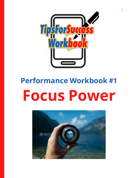

1

# **Performance Workbook #1 Focus Power**

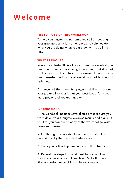### **Welcome**

#### THE PURPOSE OF THIS WORKBOOK

To help you master the performance skill of focusing your attention, at will. In other words, to help you do what you are doing when you are doing it . . . all the time.

#### WHAT IS FOCUS?

You concentrate 100% of your attention on what you are doing when you are doing it. You are not distracted by the past, by the future or by useless thoughts. You are interested and aware of everything that is going on right now.

As a result of this simple but powerful skill, you perform your job and live your life at your best level. You have more power and you are happier.

#### INSTRUCTIONS

1. The workbook includes several steps that require you write down your thoughts, exercise results and plans. If you like, you can print a copy of the workbook to write down your answers.

2. Go through the workbook and do each step OR skip around and try the steps that interest you.

3. Once you notice improvements, try all of the steps.

4. Repeat the steps that work best for you until your focus reaches a powerful new level. Make it a new lifetime performance skill to help you succeed.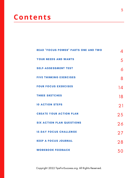### **Contents**

| <b>READ "FOCUS POWER" PARTS ONE AND TWO</b> | 4  |
|---------------------------------------------|----|
| <b>YOUR NEEDS AND WANTS</b>                 | 5  |
| <b>SELF-ASSESSMENT TEST</b>                 | 6  |
| <b>FIVE THINKING EXERCISES</b>              | 8  |
| <b>FOUR FOCUS EXERCISES</b>                 | 14 |
| <b>THREE SKETCHES</b>                       | 18 |
| <b>10 ACTION STEPS</b>                      | 21 |
| <b>CREATE YOUR ACTION PLAN</b>              | 25 |
| <b>SIX ACTION PLAN QUESTIONS</b>            | 26 |
| <b>15-DAY FOCUS CHALLENGE</b>               | 27 |
| <b>KEEP A FOCUS JOURNAL</b>                 | 28 |
| <b>WORKBOOK FEEDBACK</b>                    | 30 |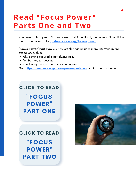### <span id="page-3-0"></span>**Read "Focus Power" Parts One and Two**

You have probably read "Focus Power" Part One. If not, please read it by clicking the box below or go to [tipsforsuccess.org/focus-power.](https://tipsforsuccess.org/focus-power)

"Focus Power" Part Two is a new article that includes more information and examples, such as

- Why getting focused is not always easy
- Ten barriers to focusing
- How being focused increases your income

Go to **[tipsforsuccess.org/focus-power-part-two](https://tipsforsuccess.org/focus-power-part-two)** or click the box below.

### ["FOCUS](https://tipsforsuccess.org/focus-power) POWER" PART ONE [CLICK](https://tipsforsuccess.org/happiness-is-power) TO READ

#### [CLICK](https://tipsforsuccess.org/happiness-is-power) TO READ

["FOCUS](https://tipsforsuccess.org/focus-power-part-two) POWER" PART TWO

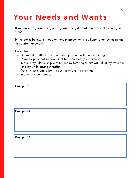# <span id="page-4-0"></span>**Your Needs and Wants**

If you do what you're doing when you're doing it, what improvements would you want?

In the boxes below, list three or more improvements you hope to get by mastering this performance skill.

Examples:

- Figure out a difficult and confusing problem with our marketing.
- Make my prospective new client feel completely understood.
- Improve my relationship with my son by listening to him with all of my attention
- Find joy while driving in traffic.
- Train my assistant to be the best assistant I've ever had.
- Improve my golf game.

| Example #1 |  |  |
|------------|--|--|
|            |  |  |
|            |  |  |
|            |  |  |
|            |  |  |
| Example #2 |  |  |
|            |  |  |

Example #3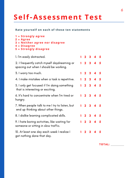# <span id="page-5-0"></span>**Self -Assessment Test**

#### **Rate yourself on each of these ten statements**

```
1 = Strongly agree
2 = Agree
3 = Nei ther agree nor disagree
4 = Disagree
5 = Strongly disagree
```

| 1. I'm easily distracted.                                                             |   |                     | 2 3 4 5                     |     |
|---------------------------------------------------------------------------------------|---|---------------------|-----------------------------|-----|
| 2. I frequently catch myself daydreaming or<br>spacing out when I should be working.  | 1 |                     | 2 3 4 5                     |     |
| 3. I worry too much.                                                                  |   |                     | 12345                       |     |
| 4. I make mistakes when a task is repetitive.                                         |   |                     | 2 3 4 5                     |     |
| 5. I only get focused if I'm doing something<br>that is interesting or exciting.      |   |                     | $2 \quad 3 \quad 4 \quad 5$ |     |
| 6. It's hard to concentrate when I'm tired or<br>hungry.                              | 1 |                     | 2 3 4 5                     |     |
| 7. When people talk to me I try to listen, but<br>end up thinking about other things. |   |                     | 1 2 3 4 5                   |     |
| 8. I dislike learning complicated skills.                                             |   |                     | 2 3 4 5                     |     |
| 9. I hate boring activities, like waiting for<br>someone or sitting in slow traffic.  |   |                     | 12345                       |     |
| 10. At least one day each week I realize I<br>got nothing done that day.              |   | $2 \quad 3 \quad 4$ |                             | - 5 |
|                                                                                       |   |                     |                             |     |

TOTAL: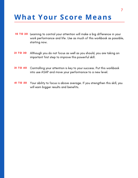### **What Your Score Means**

- 10 TO 20 Learning to control your attention will make a big difference in your work performance and life. Use as much of this workbook as possible, starting now.
- 21 TO 30 Although you do not focus as well as you should, you are taking an important first step to improve this powerful skill.
- 31 TO 40 Controlling your attention is key to your success. Put this workbook into use ASAP and move your performance to a new level.
- 41 TO 50 Your ability to focus is above average. If you strengthen this skill, you will earn bigger results and benefits.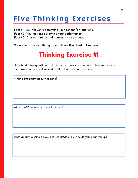<span id="page-7-0"></span>Fact #1: Your thoughts determine your actions (or reactions).

Fact #2: Your actions determine your performance.

Fact #3: Your performance determines your success.

So let's work on your thoughts with these five Thinking Exercises.

### Thinking Exercise #1

Think about these questions and then write down your answers. This exercise helps you to work out new, valuable ideas that lead to smarter actions.

What is important about focusing?

What is NOT important about focusing?

What about focusing do you not understand? How could you clear this up?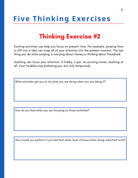### Thinking Exercise #2

Exciting activities can help you focus on present time. For example, jumping from a cliff into a lake can snap all of your attention into the present moment. The last thing you do when jumping is worrying about money or thinking about Facebook.

Anything can focus your attention. A hobby, a pet, an exciting movie, anything at all. Your troubles stop bothering you, but only temporarily.

What activities get you to do what you are doing when you are doing it?

How do you feel when you are focusing on those activities?

How would you perform if you had that same level of focus when doing important work?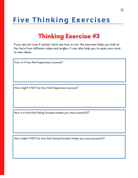### Thinking Exercise #3

If you are not sure if certain facts are true or not, this exercise helps you look at the facts from different sides and angles. It can also help you to open your mind to new ideas.

How is it true that happiness is power?

How might it NOT be true that happiness is power?

How is it true that being focused makes you more powerful?

How might it NOT be true that being focused makes you more powerful?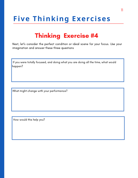#### Thinking Exercise #4

Next, let's consider the perfect condition or ideal scene for your focus. Use your imagination and answer these three questions

If you were totally focused, and doing what you are doing all the time, what would happen?

What might change with your performance?

How would this help you?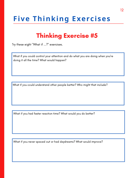#### Thinking Exercise #5

Try these eight "What if ...?" exercises.

What if you could control your attention and do what you are doing when you're doing it all the time? What would happen?

What if you could understand other people better? Who might that include?

What if you had faster reaction time? What would you do better?

What if you never spaced out or had daydreams? What would improve?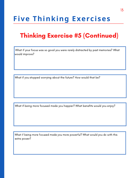### Thinking Exercise #5 (Continued)

What if your focus was so good you were rarely distracted by past memories? What would improve?

What if you stopped worrying about the future? How would that be?

What if being more focused made you happier? What benefits would you enjoy?

What if being more focused made you more powerful? What would you do with this extra power?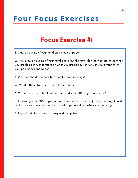#### Focus Exercise #1

<span id="page-13-0"></span>1. Draw an outline of your hand on a piece of paper.

2. Now draw an outline of your hand again, but this time, do what you are doing when you are doing it. Concentrate on what you are doing. Put 100% of your attention on your pen, hands and paper.

3. What are the differences between the two drawings?

4. Was it difficult for you to control your attention?

5. Was is more enjoyable to draw your hand with 100% of your attention?

6. If drawing with 100% of your attention was not easy and enjoyable, do it again and really concentrate your attention. Do what you are doing when you are doing it.

7. Repeat until the exercise is easy and enjoyable..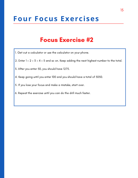#### Focus Exercise #2

- 1. Get out a calculator or use the calculator on your phone.
- 2. Enter  $1 + 2 + 3 + 4 + 5$  and so on. Keep adding the next highest number to the total.
- 3. After you enter 50, you should have 1275.
- 4. Keep going until you enter 100 and you should have a total of 5050.
- 5. If you lose your focus and make a mistake, start over.
- 6. Repeat the exercise until you can do the drill much faster.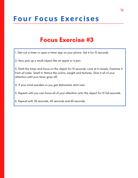#### Focus Exercise #3

1. Get out a timer or open a timer app on your phone. Set it for 15 seconds.

2. Now pick up a small object like an apple or a pen.

3. Start the timer and focus on the object for 15 seconds. Look at it closely. Examine it from all sides. Smell it. Notice the colors, weight and textures. Give it all of your attention until your timer goes off.

4. If your mind wanders or you get distracted, start over.

5. Repeat until you can focus all of your attention onto the object for 15 full seconds.

6. Repeat with 30 seconds, 45 seconds and 60 seconds.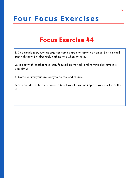#### Focus Exercise #4

1. Do a simple task, such as organize some papers or reply to an email. Do this small task right now. Do absolutely nothing else when doing it.

2. Repeat with another task. Stay focused on the task, and nothing else, until it is completed.

3. Continue until your are ready to be focused all day.

Start each day with this exercise to boost your focus and improve your results for that day.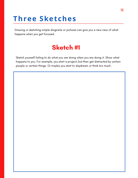# <span id="page-17-0"></span>**Three Sketches**

Drawing or sketching simple diagrams or pictures can give you a new view of what happens when you get focused.

### Sketch #1

Sketch yourself failing to do what you are doing when you are doing it. Show what happens to you. For example, you start a project, but then get distracted by certain people or certain things. Or maybe you start to daydream or think too much.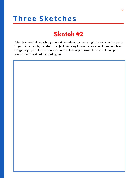### **Three Sketches**

#### Sketch #2

Sketch yourself doing what you are doing when you are doing it. Show what happens to you. For example, you start a project. You stay focused even when those people or things jump up to distract you. Or you start to lose your mental focus, but then you snap out of it and get focused again.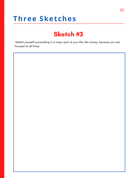### **Three Sketches**

#### Sketch #3

Sketch yourself succeeding in a major part of your life, like money, because you are focused at all times.

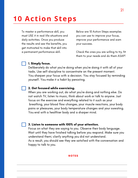## <span id="page-20-0"></span>**10 Act ion Steps**

To master a performance skill, you must USE it in real-life situations and daily activities. Once you produce the results and see the benefits, you get motivated to make that skill into a permanent performance skill.

Below are 10 Action Steps examples you can use to improve your focus, improve your performance and earn your success.

Check the ones you are willing to try, fit them to your needs and do them ASAP!

#### 1. Simply focus.

Deliberately do what you're doing when you're doing it with all of your tasks. Use self-discipline to concentrate on the present moment. You sharpen your focus with a decision. You stay focused by reminding yourself. You make it a habit by persisting.

#### 2. Get focused while exercising.

When you are working out, do what you're doing and nothing else. Do not watch TV, listen to music, think about work or talk to anyone. Just focus on the exercise and everything related to it such as your breathing, your blood flow changes, your muscle reactions, your body pains or pleasures, your body temperature changes and your sweating. You end with a healthier body and a sharper mind.

#### 3. Listen to someone with 100% of your attention.

Focus on what they are saying to you. Observe their body language. Wait until they have finished talking before you respond. Make sure you understand them; clarify anything you did not understand. As a result, you should see they are satisfied with the conversation and

happy to talk to you.

#### **NOTES**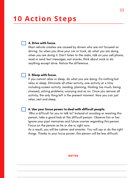### **10 Act ion Steps**

#### 4. Drive with focus.

Most vehicle crashes are caused by drivers who are not focused on driving. So when you drive your car or truck, do what you are doing when you are doing it. Don't listen to the radio, talk on your cell phone, read or send text messages, eat snacks, think about work or do anything except drive. Notice the difference.

#### 5. Sleep with focus.

If you cannot relax or sleep, do what you are doing. Do nothing but relax or sleep. Eliminate all other activity, one activity at a time including screen activity, reading, planning, thinking too much, being stressed, solving problems, worrying and so on. Once you remove all activity, the only thing left is the present moment. Now you can just relax, rest and sleep.

#### 6. Use your focus power to deal with difficult people.

Who is difficult for you to talk to? Instead of avoiding or resisting this person, take a good look at this difficult person. Observe him or her. Ignore your past memories and future worries regarding this person. Focus on the person as he or she is, right now.

As a result, you will be calmer and smarter. You will say or do the right things. Thanks to your focus power, this person will be less difficult.

#### NOTES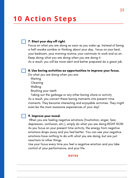# **10 Act ion Steps**

#### 7. Start your day off right.

Focus on what you are doing as soon as you wake up. Instead of being a half-awake zombie or thinking about your day, focus on your bed, your bedroom, your morning routine, your commute to work and so on. Keep doing what you are doing when you are doing it.

As a result, you will be more alert and better prepared do a great job.

#### 8. Use boring activities as opportunities to improve your focus.

Do what you are doing when you are:

- Waiting
- Cleaning
- Walking
- Brushing your teeth

Taking out the garbage or any other boring chore or activity As a result, you convert these boring moments into present-time moments. They become interesting and enjoyable activities. They might even be the most awesome experiences of your day!

#### 9. Improve your mood.

When you are feeling negative emotions (frustration, anger, fear, depression, confusion, etc.), simply do what you are doing RIGHT NOW. As you focus on your present time activity, the energy from negative emotions drops away and you feel better. You can see your negative emotions have nothing to do with what you are doing, but are just reactions to other things.

Use your focus every time you feel a negative emotion and you take control of your performance, and your life.

#### NOTES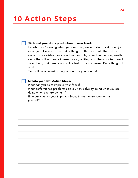# **10** Action Steps

#### 10. Boost your daily production to new levels.

Do what you're doing when you are doing an important or difficult job or project. Do each task and nothing but that task until the task is done. Ignore distractions, random thoughts, other tasks, noises, smells and others. If someone interrupts you, politely stop them or disconnect from them, and then return to the task. Take no breaks. Do nothing but work.

You will be amazed at how productive you can be!

#### Create your own Action Steps.

What can you do to improve your focus? What performance problems can you now solve by doing what you are doing when you are doing it? How can you use your improved focus to earn more success for yourself?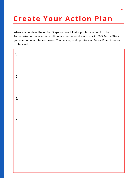# <span id="page-24-0"></span>**Create Your Action Plan**

When you combine the Action Steps you want to do, you have an Action Plan. To not take on too much or too little, we recommend you start with 2-5 Action Steps you can do during the next week. Then review and update your Action Plan at the end of the week.

| $\mathbf{1}$ .   |  |  |
|------------------|--|--|
| 2.               |  |  |
| $\overline{3}$ . |  |  |
| 4.               |  |  |
| 5.               |  |  |
|                  |  |  |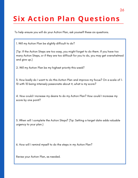# <span id="page-25-0"></span>**Six Action Plan Questions**

To help ensure you will do your Action Plan, ask yourself these six questions.

1. Will my Action Plan be slightly difficult to do?

(Tip: If the Action Steps are too easy, you might forget to do them. If you have too many Action Steps, or if they are too difficult for you to do, you may get overwhelmed and give up.)

2. Will my Action Plan be my highest priority this week?

3. How badly do I want to do this Action Plan and improve my focus? On a scale of 1- 10 with 10 being intensely passionate about it, what is my score?

4. How could I increase my desire to do my Action Plan? How could I increase my score by one point?

5. When will I complete the Action Steps? (Tip: Setting a target date adds valuable urgency to your plan.)

6. How will I remind myself to do the steps in my Action Plan?

Revise your Action Plan, as needed.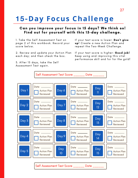# <span id="page-26-0"></span>**15-Day Focus Challenge**

#### Can you improve your focus in 15 days? We think so! Find out for yourself with this 15-day challenge.

1. Take the Self Assessment Test on page 2 of this workbook. Record your score below.

2. Review and update your Action Plan each day; and then check the box.

3. After 15 days, take the Self Assessment Test again.

If your test score is lower: Don't give up! Create a new Action Plan and repeat the Two-Week Challenge.

If your test score is higher: Good job! Keep using and improving this vital performance skill and for for the gold!

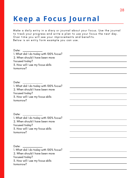# <span id="page-27-0"></span>**Keep a Focus Journal**

Make a daily entry in a diary or journal about your focus. Use the journal to track your progress and write a plan to use your focus the next day. Over time you will see your improvements and benefits. Below is an entry form example you can use.

Date: \_\_\_\_\_

1. What did I do today with 100% focus? 2. When should I have been more focused today? 3. How will I use my focus skills tomorrow?

Date:

1. What did I do today with 100% focus? 2. When should I have been more focused today? 3. How will I use my focus skills tomorrow?

Date:

1. What did I do today with 100% focus? 2. When should I have been more focused today? 3. How will I use my focus skills tomorrow?

Date:

1. What did I do today with 100% focus? 2. When should I have been more focused today? 3. How will I use my focus skills tomorrow?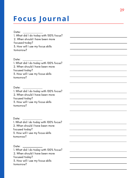## **Focus Journal**

Date: 1. What did I do today with 100% focus? 2. When should I have been more focused today? 3. H o w will I u s e m y f o c u s s kills tomorrow?

Date:

1. What did I do today with 100% focus? 2. When should I have been more focused today? 3. H o w will I u s e m y f o c u s s kills tomorrow?

Date:

1. What did I do today with 100% focus? 2. When should I have been more focused today? 3. H o w will I u s e m y f o c u s s kills tomorrow?

Date:

1. What did I do today with 100% focus? 2. When should I have been more focused today? 3. H o w will I u s e m y f o c u s s kills tomorrow?

Date:

1. What did I do today with 100% focus? 2. When should I have been more focused today? 3. H o w will I u s e m y f o c u s s kills tomorrow?